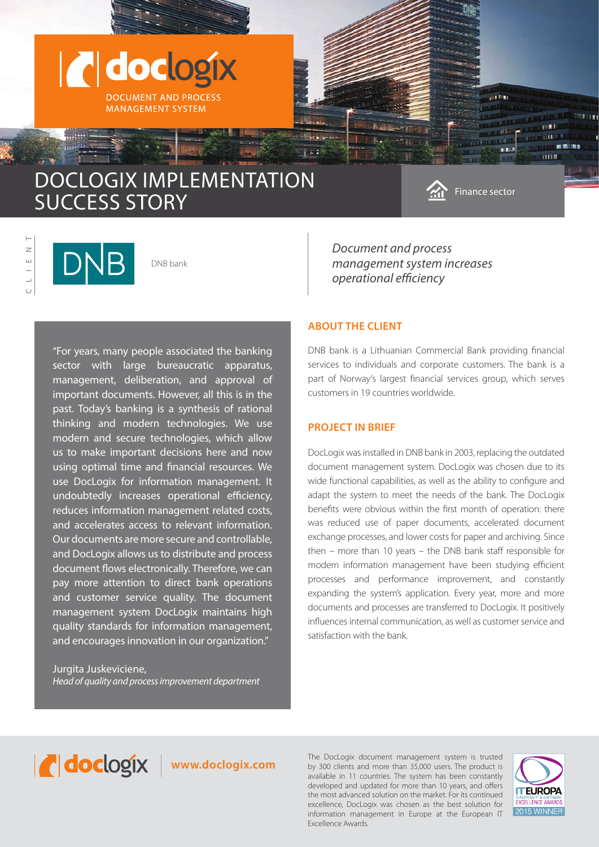

 L I EN T  $\overline{z}$  $\overline{u}$  $\cup$ 

DNB bank

"For years, many people associated the banking sector with large bureaucratic apparatus, management, deliberation, and approval of important documents. However, all this is in the past. Today's banking is a synthesis of rational thinking and modern technologies. We use modern and secure technologies, which allow us to make important decisions here and now using optimal time and financial resources. We use DocLogix for information management. It undoubtedly increases operational efficiency, reduces information management related costs, and accelerates access to relevant information. Our documents are more secure and controllable, and DocLogix allows us to distribute and process document flows electronically. Therefore, we can pay more attention to direct bank operations and customer service quality. The document management system DocLogix maintains high quality standards for information management, and encourages innovation in our organization."

Jurgita Juskeviciene, *Head of quality and process improvement department* *Document and process management system increases operational efficiency*

# **ABOUT THE CLIENT**

DNB bank is a Lithuanian Commercial Bank providing financial services to individuals and corporate customers. The bank is a part of Norway's largest financial services group, which serves customers in 19 countries worldwide.

### **PROJECT IN BRIEF**

DocLogix was installed in DNB bank in 2003, replacing the outdated document management system. DocLogix was chosen due to its wide functional capabilities, as well as the ability to configure and adapt the system to meet the needs of the bank. The DocLogix benefits were obvious within the first month of operation: there was reduced use of paper documents, accelerated document exchange processes, and lower costs for paper and archiving. Since then – more than 10 years – the DNB bank staff responsible for modern information management have been studying efficient processes and performance improvement, and constantly expanding the system's application. Every year, more and more documents and processes are transferred to DocLogix. It positively influences internal communication, as well as customer service and satisfaction with the bank.



The DocLogix document management system is trusted<br>by 300 clients and more than 35,000 users. The product is<br>matter than 35,000 users. The product is by 300 clients and more than 35,000 users. The product is available in 11 countries. The system has been constantly developed and updated for more than 10 years, and offers the most advanced solution on the market. For its continued excellence, DocLogix was chosen as the best solution for information management in Europe at the European IT Excellence Awards.